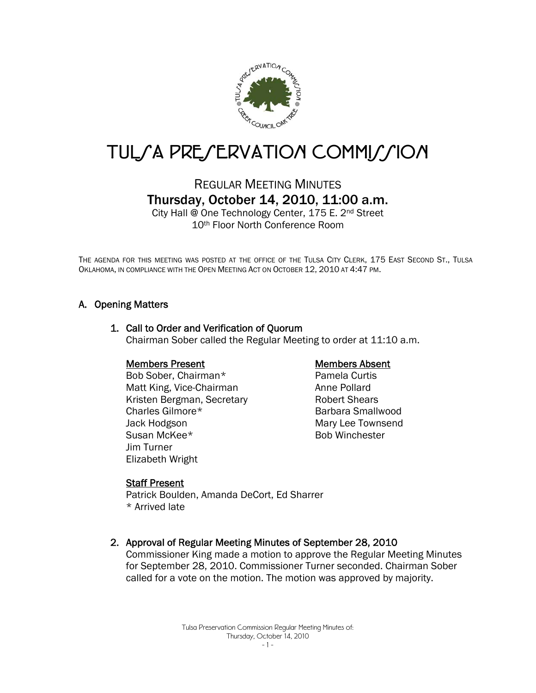

# TUL/A PRE/ERVATION COMMI//ION

# REGULAR MEETING MINUTES Thursday, October 14, 2010, 11:00 a.m.

City Hall @ One Technology Center, 175 E. 2nd Street 10th Floor North Conference Room

THE AGENDA FOR THIS MEETING WAS POSTED AT THE OFFICE OF THE TULSA CITY CLERK, 175 EAST SECOND ST., TULSA OKLAHOMA, IN COMPLIANCE WITH THE OPEN MEETING ACT ON OCTOBER 12, 2010 AT 4:47 PM.

# A. Opening Matters

# 1. Call to Order and Verification of Quorum Chairman Sober called the Regular Meeting to order at 11:10 a.m.

### Members Present

Bob Sober, Chairman\* Matt King, Vice-Chairman Kristen Bergman, Secretary Charles Gilmore\* Jack Hodgson Susan McKee\* Jim Turner Elizabeth Wright

### Members Absent

Pamela Curtis Anne Pollard Robert Shears Barbara Smallwood Mary Lee Townsend Bob Winchester

### Staff Present

Patrick Boulden, Amanda DeCort, Ed Sharrer \* Arrived late

### 2. Approval of Regular Meeting Minutes of September 28, 2010

Commissioner King made a motion to approve the Regular Meeting Minutes for September 28, 2010. Commissioner Turner seconded. Chairman Sober called for a vote on the motion. The motion was approved by majority.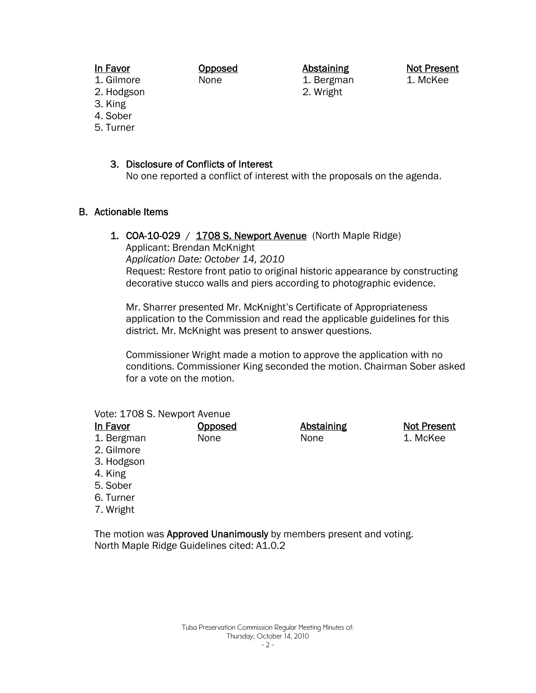## In Favor

Opposed None

Abstaining 1. Bergman 2. Wright

Not Present 1. McKee

- 1. Gilmore 2. Hodgson
- 3. King
- 4. Sober
- 5. Turner

# 3. Disclosure of Conflicts of Interest

No one reported a conflict of interest with the proposals on the agenda.

# B. Actionable Items

1. COA-10-029 / 1708 S. Newport Avenue (North Maple Ridge)

Applicant: Brendan McKnight

*Application Date: October 14, 2010*

Request: Restore front patio to original historic appearance by constructing decorative stucco walls and piers according to photographic evidence.

Mr. Sharrer presented Mr. McKnight's Certificate of Appropriateness application to the Commission and read the applicable guidelines for this district. Mr. McKnight was present to answer questions.

Commissioner Wright made a motion to approve the application with no conditions. Commissioner King seconded the motion. Chairman Sober asked for a vote on the motion.

|  |  |  | Vote: 1708 S. Newport Avenue |  |
|--|--|--|------------------------------|--|
|--|--|--|------------------------------|--|

| <b>Opposed</b> | <b>Abstaining</b> | <b>Not Present</b> |
|----------------|-------------------|--------------------|
| None           | None              | 1. McKee           |
|                |                   |                    |
|                |                   |                    |
|                |                   |                    |
|                |                   |                    |
|                |                   |                    |

- 6. Turner
- 7. Wright

The motion was Approved Unanimously by members present and voting. North Maple Ridge Guidelines cited: A1.0.2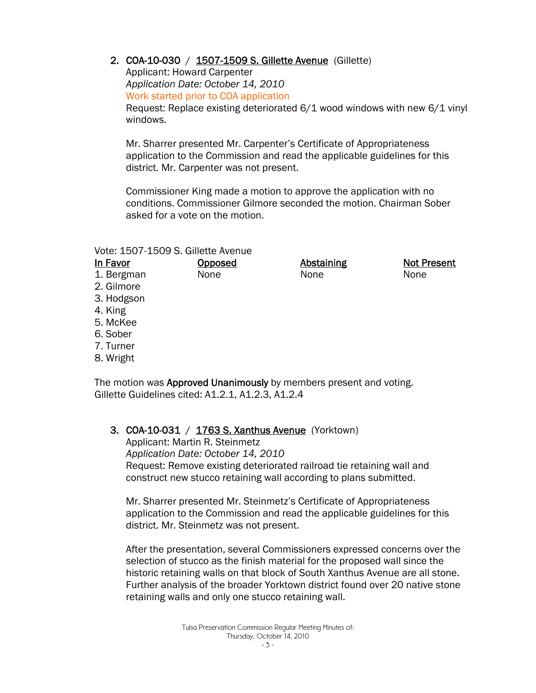# 2. COA-10-030 / 1507-1509 S. Gillette Avenue (Gillette)

Applicant: Howard Carpenter *Application Date: October 14, 2010*  Work started prior to COA application Request: Replace existing deteriorated 6/1 wood windows with new 6/1 vinyl windows.

Mr. Sharrer presented Mr. Carpenter's Certificate of Appropriateness application to the Commission and read the applicable guidelines for this district. Mr. Carpenter was not present.

Commissioner King made a motion to approve the application with no conditions. Commissioner Gilmore seconded the motion. Chairman Sober asked for a vote on the motion.

#### Vote: 1507-1509 S. Gillette Avenue

| <u>In Favor</u> | <b>Opposed</b> | <b>Abstaining</b> | <b>Not Present</b> |
|-----------------|----------------|-------------------|--------------------|
| 1. Bergman      | None           | None              | None               |
| 2. Gilmore      |                |                   |                    |
| 3. Hodgson      |                |                   |                    |
| 4. King         |                |                   |                    |
| 5. McKee        |                |                   |                    |
| 6. Sober        |                |                   |                    |
| 7. Turner       |                |                   |                    |
|                 |                |                   |                    |

8. Wright

The motion was Approved Unanimously by members present and voting. Gillette Guidelines cited: A1.2.1, A1.2.3, A1.2.4

# **3. COA-10-031** / **1763 S. Xanthus Avenue** (Yorktown)

Applicant: Martin R. Steinmetz *Application Date: October 14, 2010* Request: Remove existing deteriorated railroad tie retaining wall and construct new stucco retaining wall according to plans submitted.

Mr. Sharrer presented Mr. Steinmetz's Certificate of Appropriateness application to the Commission and read the applicable guidelines for this district. Mr. Steinmetz was not present.

After the presentation, several Commissioners expressed concerns over the selection of stucco as the finish material for the proposed wall since the historic retaining walls on that block of South Xanthus Avenue are all stone. Further analysis of the broader Yorktown district found over 20 native stone retaining walls and only one stucco retaining wall.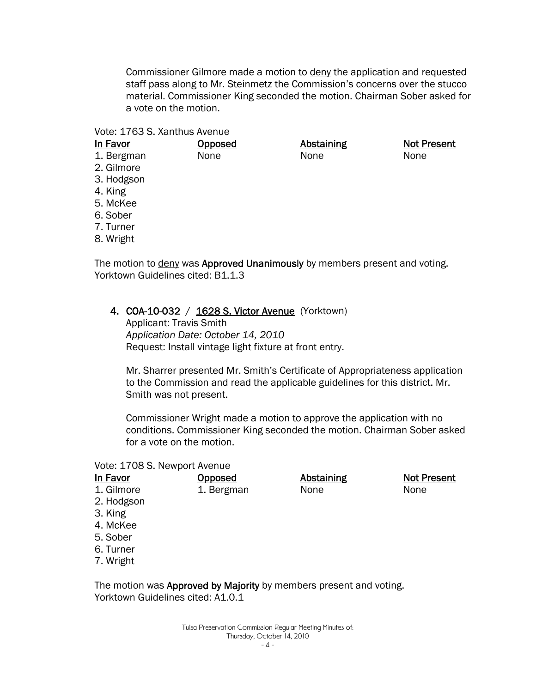Commissioner Gilmore made a motion to deny the application and requested staff pass along to Mr. Steinmetz the Commission's concerns over the stucco material. Commissioner King seconded the motion. Chairman Sober asked for a vote on the motion.

> Abstaining None

Not Present

None

#### Vote: 1763 S. Xanthus Avenue

| In Favor   |
|------------|
| 1. Bergman |

- **Opposed** None
- 
- 2. Gilmore
- 3. Hodgson
- 4. King
- 5. McKee
- 6. Sober
- 7. Turner
- 8. Wright

The motion to **deny** was **Approved Unanimously** by members present and voting. Yorktown Guidelines cited: B1.1.3

### 4. COA-10-032 / 1628 S. Victor Avenue (Yorktown)

Applicant: Travis Smith *Application Date: October 14, 2010* Request: Install vintage light fixture at front entry.

Mr. Sharrer presented Mr. Smith's Certificate of Appropriateness application to the Commission and read the applicable guidelines for this district. Mr. Smith was not present.

Commissioner Wright made a motion to approve the application with no conditions. Commissioner King seconded the motion. Chairman Sober asked for a vote on the motion.

#### Vote: 1708 S. Newport Avenue

| In Favor   | <u>Opposed</u> | Abstaining | <b>Not Present</b> |
|------------|----------------|------------|--------------------|
| 1. Gilmore | 1. Bergman     | None       | None               |
| 2. Hodgson |                |            |                    |
| 3. King    |                |            |                    |
| 4. McKee   |                |            |                    |
| 5. Sober   |                |            |                    |
| 6. Turner  |                |            |                    |
| 7. Wright  |                |            |                    |
|            |                |            |                    |

The motion was Approved by Majority by members present and voting. Yorktown Guidelines cited: A1.0.1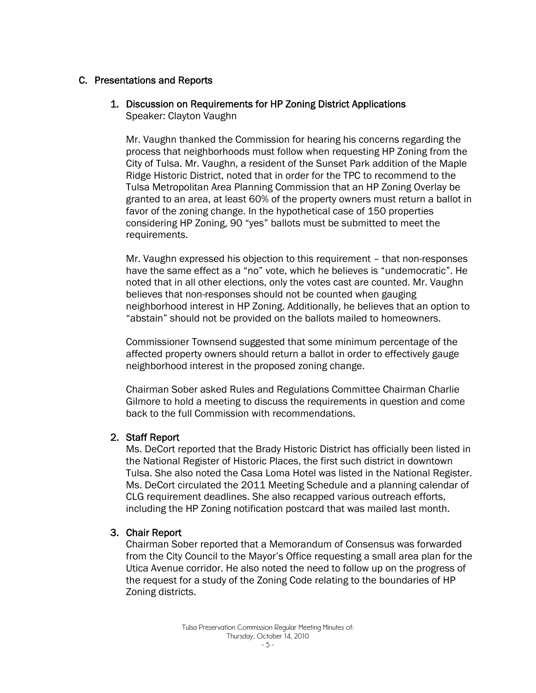# C. Presentations and Reports

#### 1. Discussion on Requirements for HP Zoning District Applications Speaker: Clayton Vaughn

Mr. Vaughn thanked the Commission for hearing his concerns regarding the process that neighborhoods must follow when requesting HP Zoning from the City of Tulsa. Mr. Vaughn, a resident of the Sunset Park addition of the Maple Ridge Historic District, noted that in order for the TPC to recommend to the Tulsa Metropolitan Area Planning Commission that an HP Zoning Overlay be granted to an area, at least 60% of the property owners must return a ballot in favor of the zoning change. In the hypothetical case of 150 properties considering HP Zoning, 90 "yes" ballots must be submitted to meet the requirements.

Mr. Vaughn expressed his objection to this requirement – that non-responses have the same effect as a "no" vote, which he believes is "undemocratic". He noted that in all other elections, only the votes cast are counted. Mr. Vaughn believes that non-responses should not be counted when gauging neighborhood interest in HP Zoning. Additionally, he believes that an option to "abstain" should not be provided on the ballots mailed to homeowners.

Commissioner Townsend suggested that some minimum percentage of the affected property owners should return a ballot in order to effectively gauge neighborhood interest in the proposed zoning change.

Chairman Sober asked Rules and Regulations Committee Chairman Charlie Gilmore to hold a meeting to discuss the requirements in question and come back to the full Commission with recommendations.

### 2. Staff Report

Ms. DeCort reported that the Brady Historic District has officially been listed in the National Register of Historic Places, the first such district in downtown Tulsa. She also noted the Casa Loma Hotel was listed in the National Register. Ms. DeCort circulated the 2011 Meeting Schedule and a planning calendar of CLG requirement deadlines. She also recapped various outreach efforts, including the HP Zoning notification postcard that was mailed last month.

# 3. Chair Report

Chairman Sober reported that a Memorandum of Consensus was forwarded from the City Council to the Mayor's Office requesting a small area plan for the Utica Avenue corridor. He also noted the need to follow up on the progress of the request for a study of the Zoning Code relating to the boundaries of HP Zoning districts.